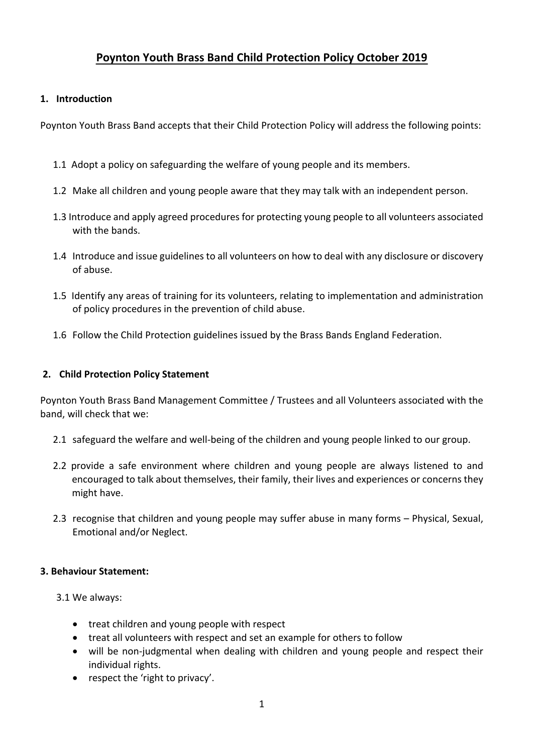# **Poynton Youth Brass Band Child Protection Policy October 2019**

## **1. Introduction**

Poynton Youth Brass Band accepts that their Child Protection Policy will address the following points:

- 1.1 Adopt a policy on safeguarding the welfare of young people and its members.
- 1.2 Make all children and young people aware that they may talk with an independent person.
- 1.3 Introduce and apply agreed procedures for protecting young people to all volunteers associated with the bands.
- 1.4 Introduce and issue guidelines to all volunteers on how to deal with any disclosure or discovery of abuse.
- 1.5 Identify any areas of training for its volunteers, relating to implementation and administration of policy procedures in the prevention of child abuse.
- 1.6 Follow the Child Protection guidelines issued by the Brass Bands England Federation.

## **2. Child Protection Policy Statement**

Poynton Youth Brass Band Management Committee / Trustees and all Volunteers associated with the band, will check that we:

- 2.1 safeguard the welfare and well-being of the children and young people linked to our group.
- 2.2 provide a safe environment where children and young people are always listened to and encouraged to talk about themselves, their family, their lives and experiences or concerns they might have.
- 2.3 recognise that children and young people may suffer abuse in many forms Physical, Sexual, Emotional and/or Neglect.

#### **3. Behaviour Statement:**

3.1 We always:

- treat children and young people with respect
- treat all volunteers with respect and set an example for others to follow
- will be non-judgmental when dealing with children and young people and respect their individual rights.
- $\bullet$  respect the 'right to privacy'.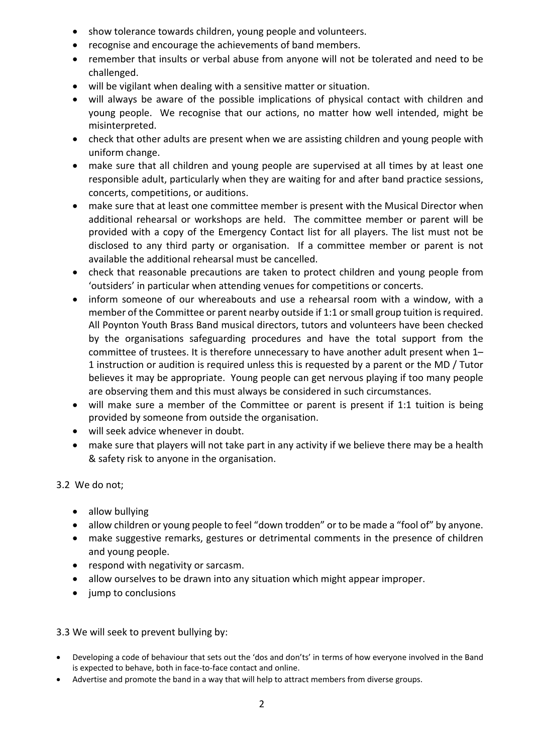- show tolerance towards children, young people and volunteers.
- recognise and encourage the achievements of band members.
- remember that insults or verbal abuse from anyone will not be tolerated and need to be challenged.
- will be vigilant when dealing with a sensitive matter or situation.
- will always be aware of the possible implications of physical contact with children and young people. We recognise that our actions, no matter how well intended, might be misinterpreted.
- check that other adults are present when we are assisting children and young people with uniform change.
- make sure that all children and young people are supervised at all times by at least one responsible adult, particularly when they are waiting for and after band practice sessions, concerts, competitions, or auditions.
- make sure that at least one committee member is present with the Musical Director when additional rehearsal or workshops are held. The committee member or parent will be provided with a copy of the Emergency Contact list for all players. The list must not be disclosed to any third party or organisation. If a committee member or parent is not available the additional rehearsal must be cancelled.
- check that reasonable precautions are taken to protect children and young people from 'outsiders' in particular when attending venues for competitions or concerts.
- inform someone of our whereabouts and use a rehearsal room with a window, with a member of the Committee or parent nearby outside if  $1:1$  or small group tuition is required. All Poynton Youth Brass Band musical directors, tutors and volunteers have been checked by the organisations safeguarding procedures and have the total support from the committee of trustees. It is therefore unnecessary to have another adult present when 1– 1 instruction or audition is required unless this is requested by a parent or the MD / Tutor believes it may be appropriate. Young people can get nervous playing if too many people are observing them and this must always be considered in such circumstances.
- will make sure a member of the Committee or parent is present if 1:1 tuition is being provided by someone from outside the organisation.
- will seek advice whenever in doubt.
- make sure that players will not take part in any activity if we believe there may be a health & safety risk to anyone in the organisation.

# 3.2 We do not;

- allow bullying
- allow children or young people to feel "down trodden" or to be made a "fool of" by anyone.
- make suggestive remarks, gestures or detrimental comments in the presence of children and young people.
- respond with negativity or sarcasm.
- allow ourselves to be drawn into any situation which might appear improper.
- jump to conclusions

# 3.3 We will seek to prevent bullying by:

- Developing a code of behaviour that sets out the 'dos and don'ts' in terms of how everyone involved in the Band is expected to behave, both in face-to-face contact and online.
- Advertise and promote the band in a way that will help to attract members from diverse groups.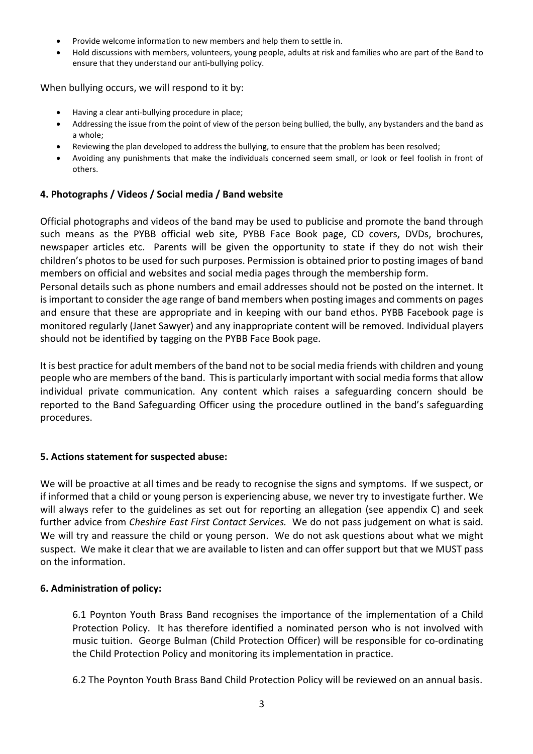- Provide welcome information to new members and help them to settle in.
- Hold discussions with members, volunteers, young people, adults at risk and families who are part of the Band to ensure that they understand our anti-bullying policy.

When bullying occurs, we will respond to it by:

- Having a clear anti-bullying procedure in place;
- Addressing the issue from the point of view of the person being bullied, the bully, any bystanders and the band as a whole;
- Reviewing the plan developed to address the bullying, to ensure that the problem has been resolved;
- Avoiding any punishments that make the individuals concerned seem small, or look or feel foolish in front of others.

## **4. Photographs / Videos / Social media / Band website**

Official photographs and videos of the band may be used to publicise and promote the band through such means as the PYBB official web site, PYBB Face Book page, CD covers, DVDs, brochures, newspaper articles etc. Parents will be given the opportunity to state if they do not wish their children's photos to be used for such purposes. Permission is obtained prior to posting images of band members on official and websites and social media pages through the membership form.

Personal details such as phone numbers and email addresses should not be posted on the internet. It is important to consider the age range of band members when posting images and comments on pages and ensure that these are appropriate and in keeping with our band ethos. PYBB Facebook page is monitored regularly (Janet Sawyer) and any inappropriate content will be removed. Individual players should not be identified by tagging on the PYBB Face Book page.

It is best practice for adult members of the band not to be social media friends with children and young people who are members of the band. This is particularly important with social media forms that allow individual private communication. Any content which raises a safeguarding concern should be reported to the Band Safeguarding Officer using the procedure outlined in the band's safeguarding procedures.

#### **5. Actions statement for suspected abuse:**

We will be proactive at all times and be ready to recognise the signs and symptoms. If we suspect, or if informed that a child or young person is experiencing abuse, we never try to investigate further. We will always refer to the guidelines as set out for reporting an allegation (see appendix C) and seek further advice from *Cheshire East First Contact Services*. We do not pass judgement on what is said. We will try and reassure the child or young person. We do not ask questions about what we might suspect. We make it clear that we are available to listen and can offer support but that we MUST pass on the information.

#### **6. Administration of policy:**

6.1 Poynton Youth Brass Band recognises the importance of the implementation of a Child Protection Policy. It has therefore identified a nominated person who is not involved with music tuition. George Bulman (Child Protection Officer) will be responsible for co-ordinating the Child Protection Policy and monitoring its implementation in practice.

6.2 The Poynton Youth Brass Band Child Protection Policy will be reviewed on an annual basis.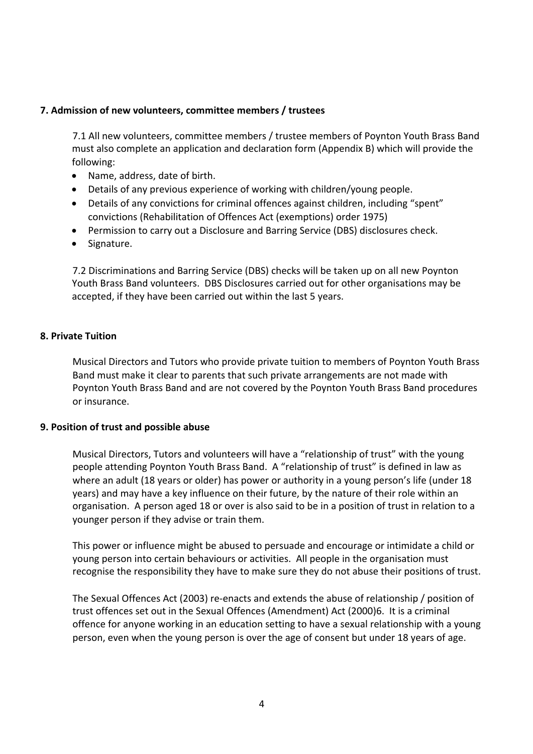## **7. Admission of new volunteers, committee members / trustees**

7.1 All new volunteers, committee members / trustee members of Poynton Youth Brass Band must also complete an application and declaration form (Appendix B) which will provide the following:

- Name, address, date of birth.
- Details of any previous experience of working with children/young people.
- Details of any convictions for criminal offences against children, including "spent" convictions (Rehabilitation of Offences Act (exemptions) order 1975)
- Permission to carry out a Disclosure and Barring Service (DBS) disclosures check.
- Signature.

7.2 Discriminations and Barring Service (DBS) checks will be taken up on all new Poynton Youth Brass Band volunteers. DBS Disclosures carried out for other organisations may be accepted, if they have been carried out within the last 5 years.

#### **8. Private Tuition**

Musical Directors and Tutors who provide private tuition to members of Poynton Youth Brass Band must make it clear to parents that such private arrangements are not made with Poynton Youth Brass Band and are not covered by the Poynton Youth Brass Band procedures or insurance.

#### **9. Position of trust and possible abuse**

Musical Directors, Tutors and volunteers will have a "relationship of trust" with the young people attending Poynton Youth Brass Band. A "relationship of trust" is defined in law as where an adult (18 years or older) has power or authority in a young person's life (under 18 years) and may have a key influence on their future, by the nature of their role within an organisation. A person aged 18 or over is also said to be in a position of trust in relation to a younger person if they advise or train them.

This power or influence might be abused to persuade and encourage or intimidate a child or young person into certain behaviours or activities. All people in the organisation must recognise the responsibility they have to make sure they do not abuse their positions of trust.

The Sexual Offences Act (2003) re-enacts and extends the abuse of relationship / position of trust offences set out in the Sexual Offences (Amendment) Act (2000)6. It is a criminal offence for anyone working in an education setting to have a sexual relationship with a young person, even when the young person is over the age of consent but under 18 years of age.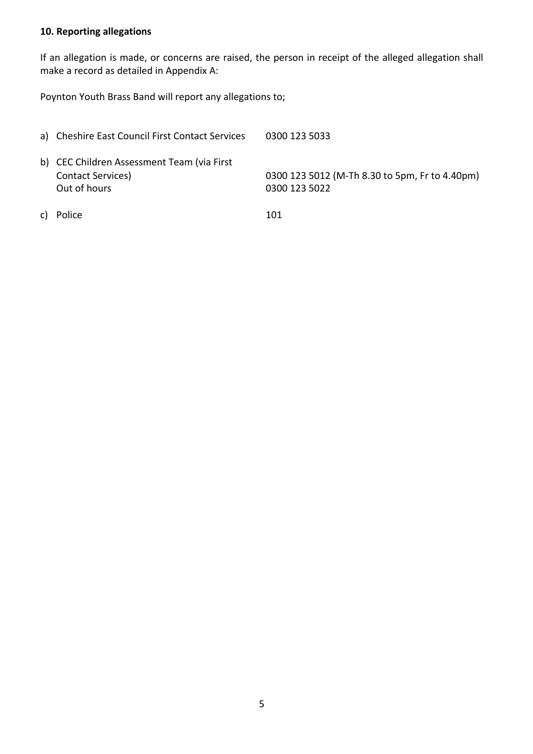# **10. Reporting allegations**

If an allegation is made, or concerns are raised, the person in receipt of the alleged allegation shall make a record as detailed in Appendix A:

Poynton Youth Brass Band will report any allegations to;

| a) Cheshire East Council First Contact Services                                         | 0300 123 5033                                                   |
|-----------------------------------------------------------------------------------------|-----------------------------------------------------------------|
| b) CEC Children Assessment Team (via First<br><b>Contact Services</b> )<br>Out of hours | 0300 123 5012 (M-Th 8.30 to 5pm, Fr to 4.40pm)<br>0300 123 5022 |
| c) Police                                                                               | 101                                                             |

5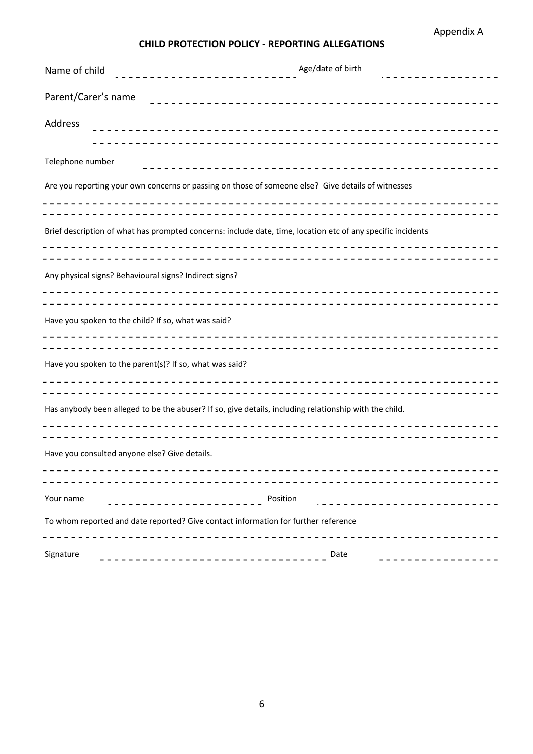# **CHILD PROTECTION POLICY - REPORTING ALLEGATIONS**

| Name of child                                                                      | Age/date of birth<br>----------------------                                                                 |  |  |
|------------------------------------------------------------------------------------|-------------------------------------------------------------------------------------------------------------|--|--|
| Parent/Carer's name                                                                |                                                                                                             |  |  |
| Address                                                                            |                                                                                                             |  |  |
| Telephone number                                                                   |                                                                                                             |  |  |
|                                                                                    | Are you reporting your own concerns or passing on those of someone else? Give details of witnesses          |  |  |
|                                                                                    | Brief description of what has prompted concerns: include date, time, location etc of any specific incidents |  |  |
|                                                                                    | Any physical signs? Behavioural signs? Indirect signs?                                                      |  |  |
|                                                                                    | Have you spoken to the child? If so, what was said?                                                         |  |  |
|                                                                                    | Have you spoken to the parent(s)? If so, what was said?                                                     |  |  |
|                                                                                    | Has anybody been alleged to be the abuser? If so, give details, including relationship with the child.      |  |  |
|                                                                                    | Have you consulted anyone else? Give details.                                                               |  |  |
| Your name                                                                          | Position                                                                                                    |  |  |
| To whom reported and date reported? Give contact information for further reference |                                                                                                             |  |  |
| Signature                                                                          | Date                                                                                                        |  |  |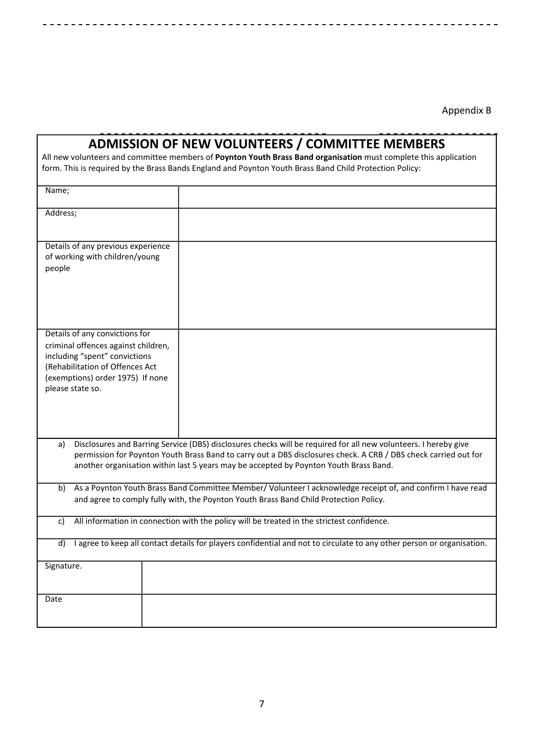Appendix B

-------------

|                                                                                                                                                                                                                                                                                                                                   | <b>ADMISSION OF NEW VOLUNTEERS / COMMITTEE MEMBERS</b><br>All new volunteers and committee members of Poynton Youth Brass Band organisation must complete this application<br>form. This is required by the Brass Bands England and Poynton Youth Brass Band Child Protection Policy: |  |  |
|-----------------------------------------------------------------------------------------------------------------------------------------------------------------------------------------------------------------------------------------------------------------------------------------------------------------------------------|---------------------------------------------------------------------------------------------------------------------------------------------------------------------------------------------------------------------------------------------------------------------------------------|--|--|
| Name;                                                                                                                                                                                                                                                                                                                             |                                                                                                                                                                                                                                                                                       |  |  |
| Address;                                                                                                                                                                                                                                                                                                                          |                                                                                                                                                                                                                                                                                       |  |  |
| Details of any previous experience<br>of working with children/young<br>people                                                                                                                                                                                                                                                    |                                                                                                                                                                                                                                                                                       |  |  |
| Details of any convictions for<br>criminal offences against children,<br>including "spent" convictions<br>(Rehabilitation of Offences Act<br>(exemptions) order 1975) If none<br>please state so.                                                                                                                                 |                                                                                                                                                                                                                                                                                       |  |  |
| Disclosures and Barring Service (DBS) disclosures checks will be required for all new volunteers. I hereby give<br>a)<br>permission for Poynton Youth Brass Band to carry out a DBS disclosures check. A CRB / DBS check carried out for<br>another organisation within last 5 years may be accepted by Poynton Youth Brass Band. |                                                                                                                                                                                                                                                                                       |  |  |
| b)                                                                                                                                                                                                                                                                                                                                | As a Poynton Youth Brass Band Committee Member/Volunteer I acknowledge receipt of, and confirm I have read<br>and agree to comply fully with, the Poynton Youth Brass Band Child Protection Policy.                                                                                   |  |  |
| c)                                                                                                                                                                                                                                                                                                                                | All information in connection with the policy will be treated in the strictest confidence.                                                                                                                                                                                            |  |  |
| d)                                                                                                                                                                                                                                                                                                                                | I agree to keep all contact details for players confidential and not to circulate to any other person or organisation.                                                                                                                                                                |  |  |
| Signature.                                                                                                                                                                                                                                                                                                                        |                                                                                                                                                                                                                                                                                       |  |  |
| Date                                                                                                                                                                                                                                                                                                                              |                                                                                                                                                                                                                                                                                       |  |  |

L.  $\overline{a}$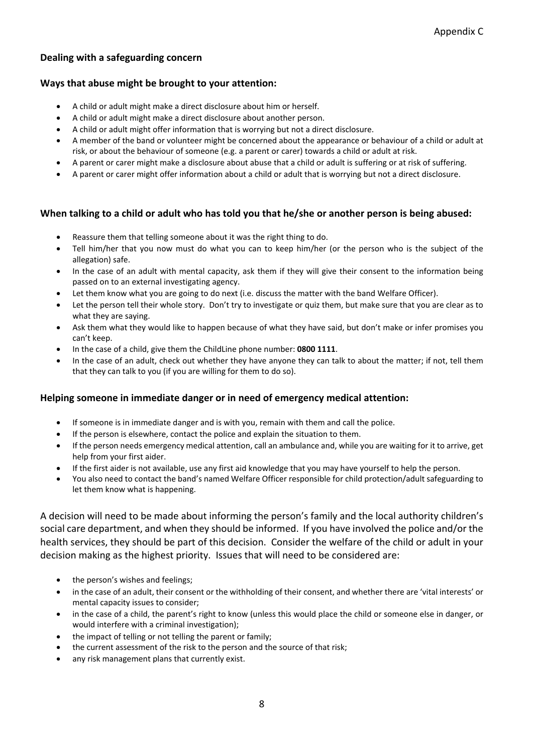#### **Dealing with a safeguarding concern**

#### **Ways that abuse might be brought to your attention:**

- A child or adult might make a direct disclosure about him or herself.
- A child or adult might make a direct disclosure about another person.
- A child or adult might offer information that is worrying but not a direct disclosure.
- A member of the band or volunteer might be concerned about the appearance or behaviour of a child or adult at risk, or about the behaviour of someone (e.g. a parent or carer) towards a child or adult at risk.
- A parent or carer might make a disclosure about abuse that a child or adult is suffering or at risk of suffering.
- A parent or carer might offer information about a child or adult that is worrying but not a direct disclosure.

#### When talking to a child or adult who has told you that he/she or another person is being abused:

- Reassure them that telling someone about it was the right thing to do.
- Tell him/her that you now must do what you can to keep him/her (or the person who is the subject of the allegation) safe.
- In the case of an adult with mental capacity, ask them if they will give their consent to the information being passed on to an external investigating agency.
- Let them know what you are going to do next (i.e. discuss the matter with the band Welfare Officer).
- Let the person tell their whole story. Don't try to investigate or quiz them, but make sure that you are clear as to what they are saying.
- Ask them what they would like to happen because of what they have said, but don't make or infer promises you can't keep.
- In the case of a child, give them the ChildLine phone number: 0800 1111.
- In the case of an adult, check out whether they have anyone they can talk to about the matter; if not, tell them that they can talk to you (if you are willing for them to do so).

#### **Helping someone in immediate danger or in need of emergency medical attention:**

- If someone is in immediate danger and is with you, remain with them and call the police.
- If the person is elsewhere, contact the police and explain the situation to them.
- If the person needs emergency medical attention, call an ambulance and, while you are waiting for it to arrive, get help from your first aider.
- If the first aider is not available, use any first aid knowledge that you may have yourself to help the person.
- You also need to contact the band's named Welfare Officer responsible for child protection/adult safeguarding to let them know what is happening.

A decision will need to be made about informing the person's family and the local authority children's social care department, and when they should be informed. If you have involved the police and/or the health services, they should be part of this decision. Consider the welfare of the child or adult in your decision making as the highest priority. Issues that will need to be considered are:

- the person's wishes and feelings;
- in the case of an adult, their consent or the withholding of their consent, and whether there are 'vital interests' or mental capacity issues to consider;
- in the case of a child, the parent's right to know (unless this would place the child or someone else in danger, or would interfere with a criminal investigation);
- the impact of telling or not telling the parent or family;
- the current assessment of the risk to the person and the source of that risk;
- any risk management plans that currently exist.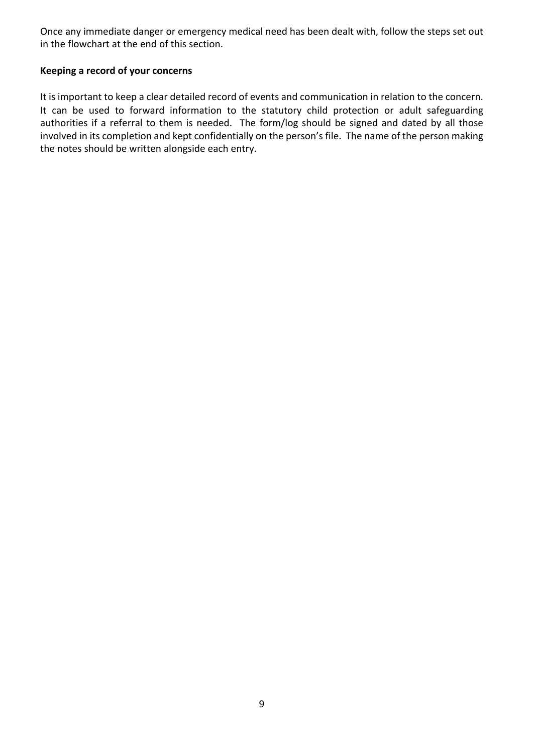Once any immediate danger or emergency medical need has been dealt with, follow the steps set out in the flowchart at the end of this section.

## **Keeping a record of your concerns**

It is important to keep a clear detailed record of events and communication in relation to the concern. It can be used to forward information to the statutory child protection or adult safeguarding authorities if a referral to them is needed. The form/log should be signed and dated by all those involved in its completion and kept confidentially on the person's file. The name of the person making the notes should be written alongside each entry.